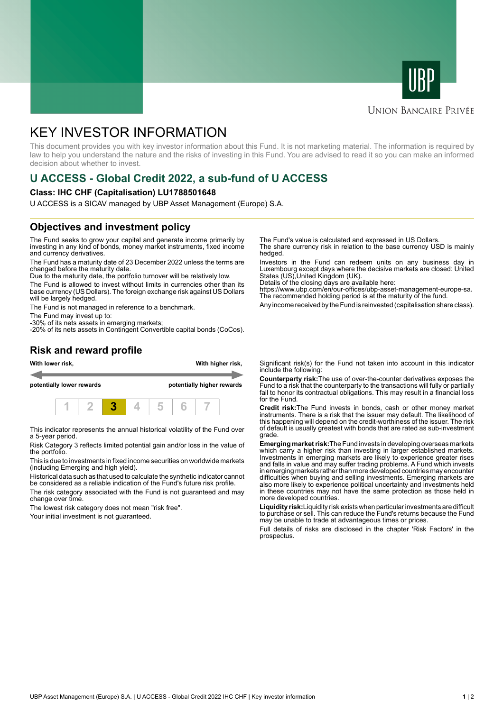



## **UNION BANCAIRE PRIVÉE**

# KEY INVESTOR INFORMATION

This document provides you with key investor information about this Fund. It is not marketing material. The information is required by law to help you understand the nature and the risks of investing in this Fund. You are advised to read it so you can make an informed decision about whether to invest.

# **U ACCESS - Global Credit 2022, a sub-fund of U ACCESS**

#### **Class: IHC CHF (Capitalisation) LU1788501648**

U ACCESS is a SICAV managed by UBP Asset Management (Europe) S.A.

# **Objectives and investment policy**

The Fund seeks to grow your capital and generate income primarily by investing in any kind of bonds, money market instruments, fixed income and currency derivatives.

The Fund has a maturity date of 23 December 2022 unless the terms are changed before the maturity date.

Due to the maturity date, the portfolio turnover will be relatively low.

The Fund is allowed to invest without limits in currencies other than its base currency (US Dollars). The foreign exchange risk against US Dollars will be largely hedged.

The Fund is not managed in reference to a benchmark.

The Fund may invest up to:

-30% of its nets assets in emerging markets; -20% of its nets assets in Contingent Convertible capital bonds (CoCos). The Fund's value is calculated and expressed in US Dollars.

The share currency risk in relation to the base currency USD is mainly hedged.

Investors in the Fund can redeem units on any business day in Luxembourg except days where the decisive markets are closed: United States (US),United Kingdom (UK).

Details of the closing days are available here:

https://www.ubp.com/en/our-offices/ubp-asset-management-europe-sa. The recommended holding period is at the maturity of the fund.

Any income received by the Fund is reinvested (capitalisation share class).

## **Risk and reward profile**



This indicator represents the annual historical volatility of the Fund over a 5-year period.

Risk Category 3 reflects limited potential gain and/or loss in the value of the portfolio.

This is due to investments in fixed income securities on worldwide markets (including Emerging and high yield).

Historical data such as that used to calculate the synthetic indicator cannot be considered as a reliable indication of the Fund's future risk profile.

The risk category associated with the Fund is not guaranteed and may change over time.

The lowest risk category does not mean "risk free".

Your initial investment is not guaranteed.

Significant risk(s) for the Fund not taken into account in this indicator include the following:

**Counterparty risk:**The use of over-the-counter derivatives exposes the Fund to a risk that the counterparty to the transactions will fully or partially fail to honor its contractual obligations. This may result in a financial loss for the Fund.

**Credit risk:**The Fund invests in bonds, cash or other money market instruments. There is a risk that the issuer may default. The likelihood of this happening will depend on the credit-worthiness of the issuer. The risk of default is usually greatest with bonds that are rated as sub-investment grade.

**Emerging market risk:**The Fund invests in developing overseas markets which carry a higher risk than investing in larger established markets. Investments in emerging markets are likely to experience greater rises and falls in value and may suffer trading problems. A Fund which invests in emerging markets rather than more developed countries may encounter difficulties when buying and selling investments. Emerging markets are also more likely to experience political uncertainty and investments held in these countries may not have the same protection as those held in more developed countries.

**Liquidity risk:**Liquidity risk exists when particular investments are difficult to purchase or sell. This can reduce the Fund's returns because the Fund may be unable to trade at advantageous times or prices

Full details of risks are disclosed in the chapter 'Risk Factors' in the prospectus.